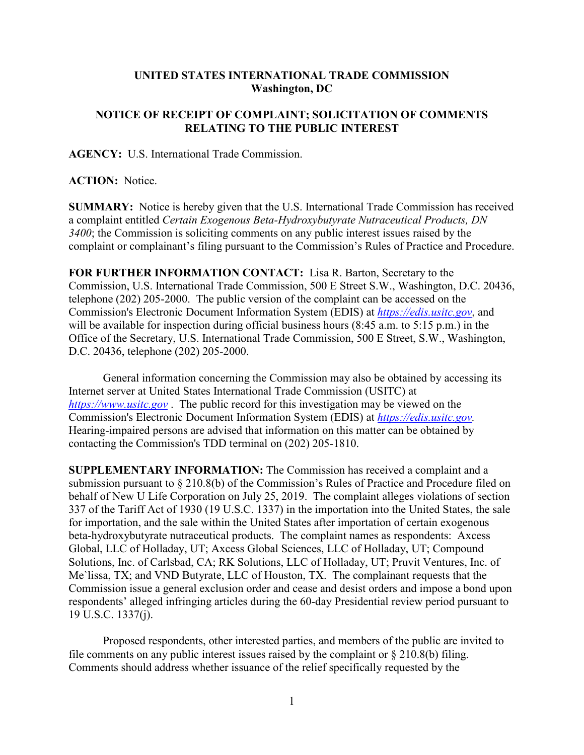## **UNITED STATES INTERNATIONAL TRADE COMMISSION Washington, DC**

## **NOTICE OF RECEIPT OF COMPLAINT; SOLICITATION OF COMMENTS RELATING TO THE PUBLIC INTEREST**

**AGENCY:** U.S. International Trade Commission.

## **ACTION:** Notice.

**SUMMARY:** Notice is hereby given that the U.S. International Trade Commission has received a complaint entitled *Certain Exogenous Beta-Hydroxybutyrate Nutraceutical Products, DN 3400*; the Commission is soliciting comments on any public interest issues raised by the complaint or complainant's filing pursuant to the Commission's Rules of Practice and Procedure.

**FOR FURTHER INFORMATION CONTACT:** Lisa R. Barton, Secretary to the Commission, U.S. International Trade Commission, 500 E Street S.W., Washington, D.C. 20436, telephone (202) 205-2000. The public version of the complaint can be accessed on the Commission's Electronic Document Information System (EDIS) at *[https://edis.usitc.gov](https://edis.usitc.gov/)*, and will be available for inspection during official business hours (8:45 a.m. to 5:15 p.m.) in the Office of the Secretary, U.S. International Trade Commission, 500 E Street, S.W., Washington, D.C. 20436, telephone (202) 205-2000.

General information concerning the Commission may also be obtained by accessing its Internet server at United States International Trade Commission (USITC) at *[https://www.usitc.gov](https://www.usitc.gov/)* . The public record for this investigation may be viewed on the Commission's Electronic Document Information System (EDIS) at *[https://edis.usitc.gov.](https://edis.usitc.gov/)* Hearing-impaired persons are advised that information on this matter can be obtained by contacting the Commission's TDD terminal on (202) 205-1810.

**SUPPLEMENTARY INFORMATION:** The Commission has received a complaint and a submission pursuant to § 210.8(b) of the Commission's Rules of Practice and Procedure filed on behalf of New U Life Corporation on July 25, 2019. The complaint alleges violations of section 337 of the Tariff Act of 1930 (19 U.S.C. 1337) in the importation into the United States, the sale for importation, and the sale within the United States after importation of certain exogenous beta-hydroxybutyrate nutraceutical products. The complaint names as respondents: Axcess Global, LLC of Holladay, UT; Axcess Global Sciences, LLC of Holladay, UT; Compound Solutions, Inc. of Carlsbad, CA; RK Solutions, LLC of Holladay, UT; Pruvit Ventures, Inc. of Me`lissa, TX; and VND Butyrate, LLC of Houston, TX. The complainant requests that the Commission issue a general exclusion order and cease and desist orders and impose a bond upon respondents' alleged infringing articles during the 60-day Presidential review period pursuant to 19 U.S.C. 1337(j).

Proposed respondents, other interested parties, and members of the public are invited to file comments on any public interest issues raised by the complaint or  $\S 210.8(b)$  filing. Comments should address whether issuance of the relief specifically requested by the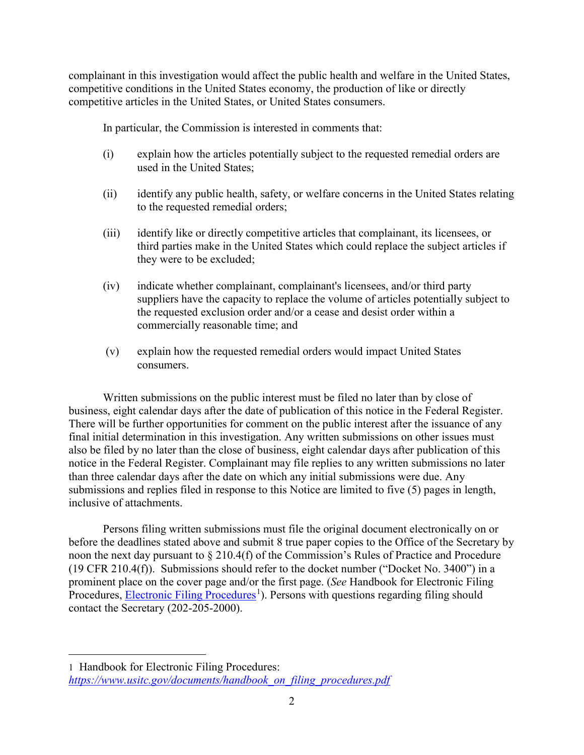complainant in this investigation would affect the public health and welfare in the United States, competitive conditions in the United States economy, the production of like or directly competitive articles in the United States, or United States consumers.

In particular, the Commission is interested in comments that:

- (i) explain how the articles potentially subject to the requested remedial orders are used in the United States;
- (ii) identify any public health, safety, or welfare concerns in the United States relating to the requested remedial orders;
- (iii) identify like or directly competitive articles that complainant, its licensees, or third parties make in the United States which could replace the subject articles if they were to be excluded;
- (iv) indicate whether complainant, complainant's licensees, and/or third party suppliers have the capacity to replace the volume of articles potentially subject to the requested exclusion order and/or a cease and desist order within a commercially reasonable time; and
- (v) explain how the requested remedial orders would impact United States consumers.

Written submissions on the public interest must be filed no later than by close of business, eight calendar days after the date of publication of this notice in the Federal Register. There will be further opportunities for comment on the public interest after the issuance of any final initial determination in this investigation. Any written submissions on other issues must also be filed by no later than the close of business, eight calendar days after publication of this notice in the Federal Register. Complainant may file replies to any written submissions no later than three calendar days after the date on which any initial submissions were due. Any submissions and replies filed in response to this Notice are limited to five (5) pages in length, inclusive of attachments.

Persons filing written submissions must file the original document electronically on or before the deadlines stated above and submit 8 true paper copies to the Office of the Secretary by noon the next day pursuant to § 210.4(f) of the Commission's Rules of Practice and Procedure (19 CFR 210.4(f)). Submissions should refer to the docket number ("Docket No. 3400") in a prominent place on the cover page and/or the first page. (*See* Handbook for Electronic Filing Procedures, **Electronic Filing Procedures**<sup>[1](#page-1-0)</sup>). Persons with questions regarding filing should contact the Secretary (202-205-2000).

 $\overline{a}$ 

<span id="page-1-0"></span><sup>1</sup> Handbook for Electronic Filing Procedures: *[https://www.usitc.gov/documents/handbook\\_on\\_filing\\_procedures.pdf](https://www.usitc.gov/documents/handbook_on_filing_procedures.pdf)*